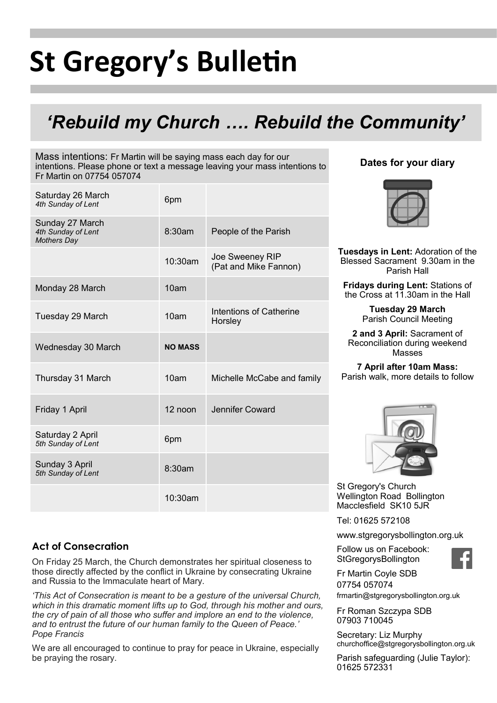# **St Gregory's Bulletin**

# *'Rebuild my Church …. Rebuild the Community'*

Mass intentions: Fr Martin will be saying mass each day for our intentions. Please phone or text a message leaving your mass intentions to Fr Martin on 07754 057074

| Saturday 26 March<br>4th Sunday of Lent                     | 6pm            |                                           |
|-------------------------------------------------------------|----------------|-------------------------------------------|
| Sunday 27 March<br>4th Sunday of Lent<br><b>Mothers Day</b> | 8:30am         | People of the Parish                      |
|                                                             | 10:30am        | Joe Sweeney RIP<br>(Pat and Mike Fannon)  |
| Monday 28 March                                             | 10am           |                                           |
| Tuesday 29 March                                            | 10am           | <b>Intentions of Catherine</b><br>Horsley |
| Wednesday 30 March                                          | <b>NO MASS</b> |                                           |
| Thursday 31 March                                           | 10am           | Michelle McCabe and family                |
| Friday 1 April                                              | 12 noon        | Jennifer Coward                           |
| Saturday 2 April<br>5th Sunday of Lent                      | 6pm            |                                           |
| Sunday 3 April<br>5th Sunday of Lent                        | 8:30am         |                                           |
|                                                             | 10:30am        |                                           |

### **Dates for your diary**



**Tuesdays in Lent:** Adoration of the Blessed Sacrament 9.30am in the Parish Hall

**Fridays during Lent:** Stations of the Cross at 11.30am in the Hall

> **Tuesday 29 March**  Parish Council Meeting

**2 and 3 April:** Sacrament of Reconciliation during weekend Masses

**7 April after 10am Mass:**  Parish walk, more details to follow



St Gregory's Church Wellington Road Bollington Macclesfield SK10 5JR

Tel: 01625 572108

www.stgregorysbollington.org.uk

Follow us on Facebook: **StGregorysBollington** 



Fr Martin Coyle SDB 07754 057074 frmartin@stgregorysbollington.org.uk

Fr Roman Szczypa SDB 07903 710045

Secretary: Liz Murphy churchoffice@stgregorysbollington.org.uk

Parish safeguarding (Julie Taylor): 01625 572331

# **Act of Consecration**

On Friday 25 March, the Church demonstrates her spiritual closeness to those directly affected by the conflict in Ukraine by consecrating Ukraine and Russia to the Immaculate heart of Mary.

*'This Act of Consecration is meant to be a gesture of the universal Church, which in this dramatic moment lifts up to God, through his mother and ours, the cry of pain of all those who suffer and implore an end to the violence, and to entrust the future of our human family to the Queen of Peace.' Pope Francis* 

We are all encouraged to continue to pray for peace in Ukraine, especially be praying the rosary.